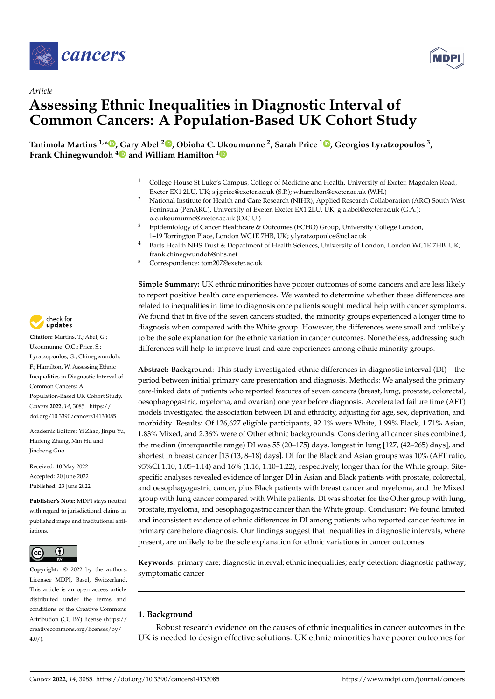



# *Article* **Assessing Ethnic Inequalities in Diagnostic Interval of Common Cancers: A Population-Based UK Cohort Study**

, Tanimola Martins <sup>1,</sup>[\\*](https://orcid.org/0000-0001-5226-4073)®, [Ga](https://orcid.org/0000-0002-7466-7225)ry Abel <sup>2</sup>®[,](https://orcid.org/0000-0002-2228-2374) Obioha C. [Uk](https://orcid.org/0000-0003-1611-1373)oumunne <sup>2</sup>, Sarah Price <sup>1</sup>®, Georgios Lyratzopoulos <sup>3</sup> **Frank Chinegwundoh <sup>4</sup> and William Hamilton <sup>1</sup>**

- <sup>1</sup> College House St Luke's Campus, College of Medicine and Health, University of Exeter, Magdalen Road, Exeter EX1 2LU, UK; s.j.price@exeter.ac.uk (S.P.); w.hamilton@exeter.ac.uk (W.H.)
- <sup>2</sup> National Institute for Health and Care Research (NIHR), Applied Research Collaboration (ARC) South West Peninsula (PenARC), University of Exeter, Exeter EX1 2LU, UK; g.a.abel@exeter.ac.uk (G.A.); o.c.ukoumunne@exeter.ac.uk (O.C.U.)
- <sup>3</sup> Epidemiology of Cancer Healthcare & Outcomes (ECHO) Group, University College London, 1–19 Torrington Place, London WC1E 7HB, UK; y.lyratzopoulos@ucl.ac.uk
- <sup>4</sup> Barts Health NHS Trust & Department of Health Sciences, University of London, London WC1E 7HB, UK; frank.chinegwundoh@nhs.net
- **\*** Correspondence: tom207@exeter.ac.uk

**Simple Summary:** UK ethnic minorities have poorer outcomes of some cancers and are less likely to report positive health care experiences. We wanted to determine whether these differences are related to inequalities in time to diagnosis once patients sought medical help with cancer symptoms. We found that in five of the seven cancers studied, the minority groups experienced a longer time to diagnosis when compared with the White group. However, the differences were small and unlikely to be the sole explanation for the ethnic variation in cancer outcomes. Nonetheless, addressing such differences will help to improve trust and care experiences among ethnic minority groups.

**Abstract:** Background: This study investigated ethnic differences in diagnostic interval (DI)—the period between initial primary care presentation and diagnosis. Methods: We analysed the primary care-linked data of patients who reported features of seven cancers (breast, lung, prostate, colorectal, oesophagogastric, myeloma, and ovarian) one year before diagnosis. Accelerated failure time (AFT) models investigated the association between DI and ethnicity, adjusting for age, sex, deprivation, and morbidity. Results: Of 126,627 eligible participants, 92.1% were White, 1.99% Black, 1.71% Asian, 1.83% Mixed, and 2.36% were of Other ethnic backgrounds. Considering all cancer sites combined, the median (interquartile range) DI was 55 (20–175) days, longest in lung [127, (42–265) days], and shortest in breast cancer [13 (13, 8–18) days]. DI for the Black and Asian groups was 10% (AFT ratio, 95%CI 1.10, 1.05–1.14) and 16% (1.16, 1.10–1.22), respectively, longer than for the White group. Sitespecific analyses revealed evidence of longer DI in Asian and Black patients with prostate, colorectal, and oesophagogastric cancer, plus Black patients with breast cancer and myeloma, and the Mixed group with lung cancer compared with White patients. DI was shorter for the Other group with lung, prostate, myeloma, and oesophagogastric cancer than the White group. Conclusion: We found limited and inconsistent evidence of ethnic differences in DI among patients who reported cancer features in primary care before diagnosis. Our findings suggest that inequalities in diagnostic intervals, where present, are unlikely to be the sole explanation for ethnic variations in cancer outcomes.

**Keywords:** primary care; diagnostic interval; ethnic inequalities; early detection; diagnostic pathway; symptomatic cancer

# **1. Background**

Robust research evidence on the causes of ethnic inequalities in cancer outcomes in the UK is needed to design effective solutions. UK ethnic minorities have poorer outcomes for



**Citation:** Martins, T.; Abel, G.; Ukoumunne, O.C.; Price, S.; Lyratzopoulos, G.; Chinegwundoh, F.; Hamilton, W. Assessing Ethnic Inequalities in Diagnostic Interval of Common Cancers: A Population-Based UK Cohort Study. *Cancers* **2022**, *14*, 3085. [https://](https://doi.org/10.3390/cancers14133085) [doi.org/10.3390/cancers14133085](https://doi.org/10.3390/cancers14133085)

Academic Editors: Yi Zhao, Jinpu Yu, Haifeng Zhang, Min Hu and Jincheng Guo

Received: 10 May 2022 Accepted: 20 June 2022 Published: 23 June 2022

**Publisher's Note:** MDPI stays neutral with regard to jurisdictional claims in published maps and institutional affiliations.



**Copyright:** © 2022 by the authors. Licensee MDPI, Basel, Switzerland. This article is an open access article distributed under the terms and conditions of the Creative Commons Attribution (CC BY) license [\(https://](https://creativecommons.org/licenses/by/4.0/) [creativecommons.org/licenses/by/](https://creativecommons.org/licenses/by/4.0/)  $4.0/$ ).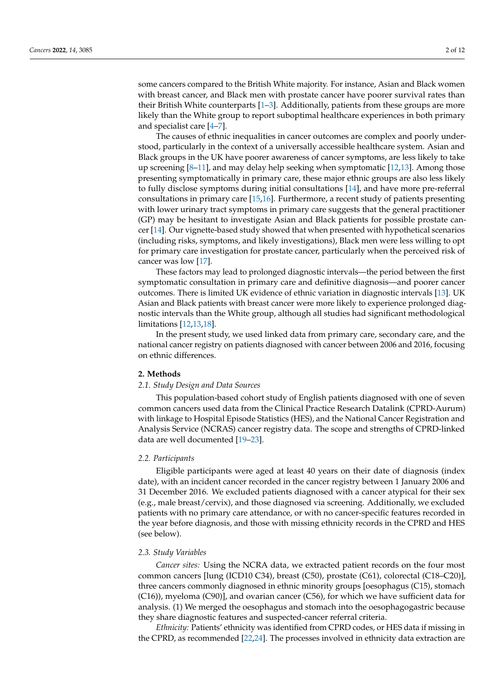some cancers compared to the British White majority. For instance, Asian and Black women with breast cancer, and Black men with prostate cancer have poorer survival rates than their British White counterparts [\[1–](#page-9-0)[3\]](#page-9-1). Additionally, patients from these groups are more likely than the White group to report suboptimal healthcare experiences in both primary and specialist care [\[4–](#page-9-2)[7\]](#page-10-0).

The causes of ethnic inequalities in cancer outcomes are complex and poorly understood, particularly in the context of a universally accessible healthcare system. Asian and Black groups in the UK have poorer awareness of cancer symptoms, are less likely to take up screening [\[8–](#page-10-1)[11\]](#page-10-2), and may delay help seeking when symptomatic [\[12,](#page-10-3)[13\]](#page-10-4). Among those presenting symptomatically in primary care, these major ethnic groups are also less likely to fully disclose symptoms during initial consultations [\[14\]](#page-10-5), and have more pre-referral consultations in primary care [\[15,](#page-10-6)[16\]](#page-10-7). Furthermore, a recent study of patients presenting with lower urinary tract symptoms in primary care suggests that the general practitioner (GP) may be hesitant to investigate Asian and Black patients for possible prostate cancer [\[14\]](#page-10-5). Our vignette-based study showed that when presented with hypothetical scenarios (including risks, symptoms, and likely investigations), Black men were less willing to opt for primary care investigation for prostate cancer, particularly when the perceived risk of cancer was low [\[17\]](#page-10-8).

These factors may lead to prolonged diagnostic intervals—the period between the first symptomatic consultation in primary care and definitive diagnosis—and poorer cancer outcomes. There is limited UK evidence of ethnic variation in diagnostic intervals [\[13\]](#page-10-4). UK Asian and Black patients with breast cancer were more likely to experience prolonged diagnostic intervals than the White group, although all studies had significant methodological limitations [\[12](#page-10-3)[,13](#page-10-4)[,18\]](#page-10-9).

In the present study, we used linked data from primary care, secondary care, and the national cancer registry on patients diagnosed with cancer between 2006 and 2016, focusing on ethnic differences.

#### **2. Methods**

### *2.1. Study Design and Data Sources*

This population-based cohort study of English patients diagnosed with one of seven common cancers used data from the Clinical Practice Research Datalink (CPRD-Aurum) with linkage to Hospital Episode Statistics (HES), and the National Cancer Registration and Analysis Service (NCRAS) cancer registry data. The scope and strengths of CPRD-linked data are well documented [\[19–](#page-10-10)[23\]](#page-10-11).

#### *2.2. Participants*

Eligible participants were aged at least 40 years on their date of diagnosis (index date), with an incident cancer recorded in the cancer registry between 1 January 2006 and 31 December 2016. We excluded patients diagnosed with a cancer atypical for their sex (e.g., male breast/cervix), and those diagnosed via screening. Additionally, we excluded patients with no primary care attendance, or with no cancer-specific features recorded in the year before diagnosis, and those with missing ethnicity records in the CPRD and HES (see below).

#### *2.3. Study Variables*

*Cancer sites:* Using the NCRA data, we extracted patient records on the four most common cancers [lung (ICD10 C34), breast (C50), prostate (C61), colorectal (C18–C20)], three cancers commonly diagnosed in ethnic minority groups [oesophagus (C15), stomach (C16)), myeloma (C90)], and ovarian cancer (C56), for which we have sufficient data for analysis. (1) We merged the oesophagus and stomach into the oesophagogastric because they share diagnostic features and suspected-cancer referral criteria.

*Ethnicity:* Patients' ethnicity was identified from CPRD codes, or HES data if missing in the CPRD, as recommended [\[22,](#page-10-12)[24\]](#page-10-13). The processes involved in ethnicity data extraction are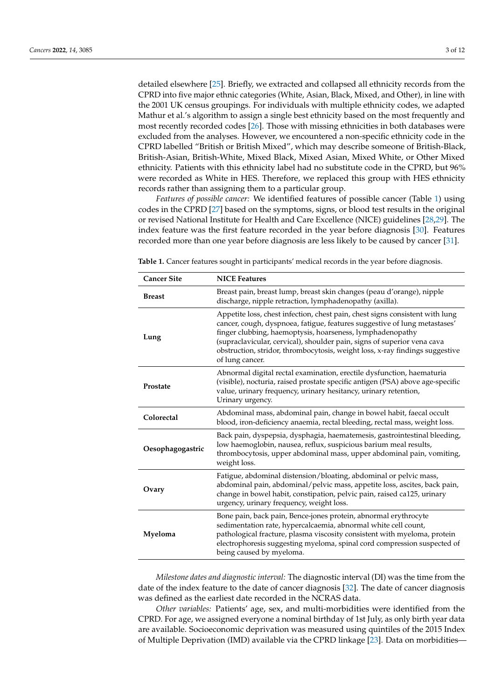detailed elsewhere [\[25\]](#page-10-14). Briefly, we extracted and collapsed all ethnicity records from the CPRD into five major ethnic categories (White, Asian, Black, Mixed, and Other), in line with the 2001 UK census groupings. For individuals with multiple ethnicity codes, we adapted Mathur et al.'s algorithm to assign a single best ethnicity based on the most frequently and most recently recorded codes [\[26\]](#page-10-15). Those with missing ethnicities in both databases were excluded from the analyses. However, we encountered a non-specific ethnicity code in the CPRD labelled "British or British Mixed", which may describe someone of British-Black, British-Asian, British-White, Mixed Black, Mixed Asian, Mixed White, or Other Mixed ethnicity. Patients with this ethnicity label had no substitute code in the CPRD, but 96% were recorded as White in HES. Therefore, we replaced this group with HES ethnicity records rather than assigning them to a particular group.

*Features of possible cancer:* We identified features of possible cancer (Table [1\)](#page-2-0) using codes in the CPRD [\[27\]](#page-10-16) based on the symptoms, signs, or blood test results in the original or revised National Institute for Health and Care Excellence (NICE) guidelines [\[28,](#page-10-17)[29\]](#page-10-18). The index feature was the first feature recorded in the year before diagnosis [\[30\]](#page-10-19). Features recorded more than one year before diagnosis are less likely to be caused by cancer [\[31\]](#page-10-20).

| <b>Cancer Site</b> | <b>NICE Features</b>                                                                                                                                                                                                                                                                                                                                                                                 |
|--------------------|------------------------------------------------------------------------------------------------------------------------------------------------------------------------------------------------------------------------------------------------------------------------------------------------------------------------------------------------------------------------------------------------------|
| <b>Breast</b>      | Breast pain, breast lump, breast skin changes (peau d'orange), nipple<br>discharge, nipple retraction, lymphadenopathy (axilla).                                                                                                                                                                                                                                                                     |
| Lung               | Appetite loss, chest infection, chest pain, chest signs consistent with lung<br>cancer, cough, dyspnoea, fatigue, features suggestive of lung metastases'<br>finger clubbing, haemoptysis, hoarseness, lymphadenopathy<br>(supraclavicular, cervical), shoulder pain, signs of superior vena cava<br>obstruction, stridor, thrombocytosis, weight loss, x-ray findings suggestive<br>of lung cancer. |
| Prostate           | Abnormal digital rectal examination, erectile dysfunction, haematuria<br>(visible), nocturia, raised prostate specific antigen (PSA) above age-specific<br>value, urinary frequency, urinary hesitancy, urinary retention,<br>Urinary urgency.                                                                                                                                                       |
| Colorectal         | Abdominal mass, abdominal pain, change in bowel habit, faecal occult<br>blood, iron-deficiency anaemia, rectal bleeding, rectal mass, weight loss.                                                                                                                                                                                                                                                   |
| Oesophagogastric   | Back pain, dyspepsia, dysphagia, haematemesis, gastrointestinal bleeding,<br>low haemoglobin, nausea, reflux, suspicious barium meal results,<br>thrombocytosis, upper abdominal mass, upper abdominal pain, vomiting,<br>weight loss.                                                                                                                                                               |
| Ovary              | Fatigue, abdominal distension/bloating, abdominal or pelvic mass,<br>abdominal pain, abdominal/pelvic mass, appetite loss, ascites, back pain,<br>change in bowel habit, constipation, pelvic pain, raised ca125, urinary<br>urgency, urinary frequency, weight loss.                                                                                                                                |
| Myeloma            | Bone pain, back pain, Bence-jones protein, abnormal erythrocyte<br>sedimentation rate, hypercalcaemia, abnormal white cell count,<br>pathological fracture, plasma viscosity consistent with myeloma, protein<br>electrophoresis suggesting myeloma, spinal cord compression suspected of<br>being caused by myeloma.                                                                                |

<span id="page-2-0"></span>**Table 1.** Cancer features sought in participants' medical records in the year before diagnosis.

*Milestone dates and diagnostic interval:* The diagnostic interval (DI) was the time from the date of the index feature to the date of cancer diagnosis [\[32\]](#page-11-0). The date of cancer diagnosis was defined as the earliest date recorded in the NCRAS data.

*Other variables:* Patients' age, sex, and multi-morbidities were identified from the CPRD. For age, we assigned everyone a nominal birthday of 1st July, as only birth year data are available. Socioeconomic deprivation was measured using quintiles of the 2015 Index of Multiple Deprivation (IMD) available via the CPRD linkage [\[23\]](#page-10-11). Data on morbidities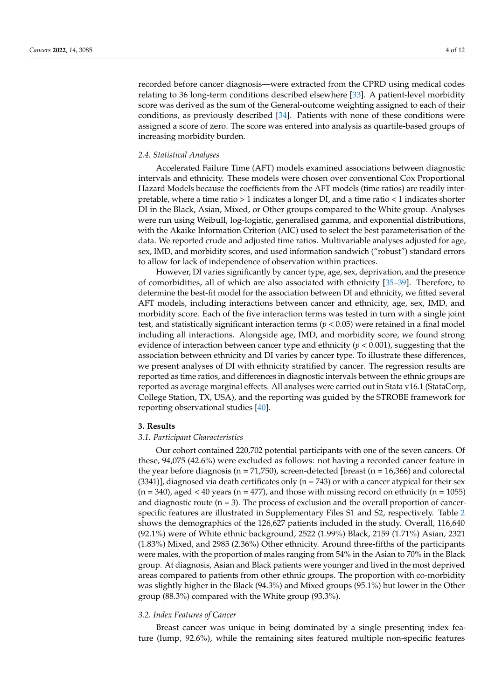recorded before cancer diagnosis—were extracted from the CPRD using medical codes relating to 36 long-term conditions described elsewhere [\[33\]](#page-11-1). A patient-level morbidity score was derived as the sum of the General-outcome weighting assigned to each of their conditions, as previously described [\[34\]](#page-11-2). Patients with none of these conditions were assigned a score of zero. The score was entered into analysis as quartile-based groups of increasing morbidity burden.

#### *2.4. Statistical Analyses*

Accelerated Failure Time (AFT) models examined associations between diagnostic intervals and ethnicity. These models were chosen over conventional Cox Proportional Hazard Models because the coefficients from the AFT models (time ratios) are readily interpretable, where a time ratio > 1 indicates a longer DI, and a time ratio < 1 indicates shorter DI in the Black, Asian, Mixed, or Other groups compared to the White group. Analyses were run using Weibull, log-logistic, generalised gamma, and exponential distributions, with the Akaike Information Criterion (AIC) used to select the best parameterisation of the data. We reported crude and adjusted time ratios. Multivariable analyses adjusted for age, sex, IMD, and morbidity scores, and used information sandwich ("robust") standard errors to allow for lack of independence of observation within practices.

However, DI varies significantly by cancer type, age, sex, deprivation, and the presence of comorbidities, all of which are also associated with ethnicity [\[35–](#page-11-3)[39\]](#page-11-4). Therefore, to determine the best-fit model for the association between DI and ethnicity, we fitted several AFT models, including interactions between cancer and ethnicity, age, sex, IMD, and morbidity score. Each of the five interaction terms was tested in turn with a single joint test, and statistically significant interaction terms (*p* < 0.05) were retained in a final model including all interactions. Alongside age, IMD, and morbidity score, we found strong evidence of interaction between cancer type and ethnicity  $(p < 0.001)$ , suggesting that the association between ethnicity and DI varies by cancer type. To illustrate these differences, we present analyses of DI with ethnicity stratified by cancer. The regression results are reported as time ratios, and differences in diagnostic intervals between the ethnic groups are reported as average marginal effects. All analyses were carried out in Stata v16.1 (StataCorp, College Station, TX, USA), and the reporting was guided by the STROBE framework for reporting observational studies [\[40\]](#page-11-5).

#### **3. Results**

#### *3.1. Participant Characteristics*

Our cohort contained 220,702 potential participants with one of the seven cancers. Of these, 94,075 (42.6%) were excluded as follows: not having a recorded cancer feature in the year before diagnosis ( $n = 71,750$ ), screen-detected [breast ( $n = 16,366$ ) and colorectal  $(3341)$ ], diagnosed via death certificates only  $(n = 743)$  or with a cancer atypical for their sex  $(n = 340)$ , aged  $\lt 40$  years  $(n = 477)$ , and those with missing record on ethnicity  $(n = 1055)$ and diagnostic route  $(n = 3)$ . The process of exclusion and the overall proportion of cancerspecific features are illustrated in Supplementary Files S1 and S2, respectively. Table [2](#page-4-0) shows the demographics of the 126,627 patients included in the study. Overall, 116,640 (92.1%) were of White ethnic background, 2522 (1.99%) Black, 2159 (1.71%) Asian, 2321 (1.83%) Mixed, and 2985 (2.36%) Other ethnicity. Around three-fifths of the participants were males, with the proportion of males ranging from 54% in the Asian to 70% in the Black group. At diagnosis, Asian and Black patients were younger and lived in the most deprived areas compared to patients from other ethnic groups. The proportion with co-morbidity was slightly higher in the Black (94.3%) and Mixed groups (95.1%) but lower in the Other group (88.3%) compared with the White group (93.3%).

#### *3.2. Index Features of Cancer*

Breast cancer was unique in being dominated by a single presenting index feature (lump, 92.6%), while the remaining sites featured multiple non-specific features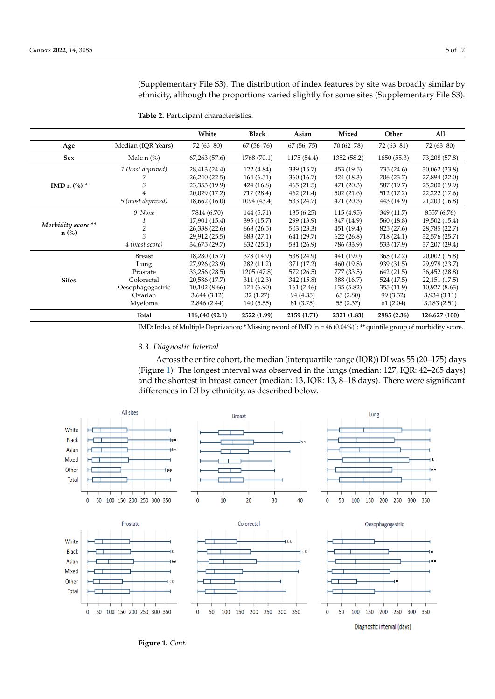(Supplementary File S3). The distribution of index features by site was broadly similar by ethnicity, although the proportions varied slightly for some sites (Supplementary File S3).

|                    |                    | White          | <b>Black</b>  | Asian         | Mixed         | Other       | All           |
|--------------------|--------------------|----------------|---------------|---------------|---------------|-------------|---------------|
| Age                | Median (IQR Years) | $72(63 - 80)$  | $67(56 - 76)$ | $67(56 - 75)$ | $70(62 - 78)$ | $72(63-81)$ | $72(63 - 80)$ |
| <b>Sex</b>         | Male $n$ $\%$ )    | 67,263(57.6)   | 1768 (70.1)   | 1175 (54.4)   | 1352 (58.2)   | 1650(55.3)  | 73,208 (57.8) |
|                    | 1 (least deprived) | 28,413 (24.4)  | 122 (4.84)    | 339 (15.7)    | 453 (19.5)    | 735 (24.6)  | 30,062 (23.8) |
|                    |                    | 26,240 (22.5)  | 164(6.51)     | 360 (16.7)    | 424 (18.3)    | 706 (23.7)  | 27,894 (22.0) |
| IMD n $(\%)$ *     | 3                  | 23,353 (19.9)  | 424 (16.8)    | 465(21.5)     | 471 (20.3)    | 587 (19.7)  | 25,200 (19.9) |
|                    |                    | 20,029 (17.2)  | 717 (28.4)    | 462(21.4)     | 502(21.6)     | 512 (17.2)  | 22,222 (17.6) |
|                    | 5 (most deprived)  | 18,662 (16.0)  | 1094 (43.4)   | 533 (24.7)    | 471 (20.3)    | 443 (14.9)  | 21,203 (16.8) |
|                    | 0-None             | 7814 (6.70)    | 144 (5.71)    | 135(6.25)     | 115(4.95)     | 349 (11.7)  | 8557 (6.76)   |
|                    |                    | 17,901 (15.4)  | 395 (15.7)    | 299 (13.9)    | 347 (14.9)    | 560 (18.8)  | 19,502 (15.4) |
| Morbidity score ** |                    | 26,338 (22.6)  | 668 (26.5)    | 503(23.3)     | 451 (19.4)    | 825 (27.6)  | 28,785 (22.7) |
| $n$ (%)            | 3                  | 29,912 (25.5)  | 683 (27.1)    | 641 (29.7)    | 622(26.8)     | 718 (24.1)  | 32,576 (25.7) |
|                    | 4 (most score)     | 34,675 (29.7)  | 632(25.1)     | 581 (26.9)    | 786 (33.9)    | 533 (17.9)  | 37,207 (29.4) |
|                    | <b>Breast</b>      | 18,280 (15.7)  | 378 (14.9)    | 538 (24.9)    | 441 (19.0)    | 365(12.2)   | 20,002 (15.8) |
|                    | Lung               | 27,926 (23.9)  | 282(11.2)     | 371 (17.2)    | 460 (19.8)    | 939 (31.5)  | 29,978 (23.7) |
|                    | Prostate           | 33,256 (28.5)  | 1205 (47.8)   | 572 (26.5)    | 777 (33.5)    | 642 (21.5)  | 36,452 (28.8) |
| <b>Sites</b>       | Colorectal         | 20,586 (17.7)  | 311(12.3)     | 342 (15.8)    | 388 (16.7)    | 524 (17.5)  | 22,151 (17.5) |
|                    | Oesophagogastric   | 10,102 (8.66)  | 174 (6.90)    | 161 (7.46)    | 135(5.82)     | 355(11.9)   | 10,927 (8.63) |
|                    | Ovarian            | 3,644(3.12)    | 32(1.27)      | 94 (4.35)     | 65(2.80)      | 99 (3.32)   | 3,934(3.11)   |
|                    | Myeloma            | 2,846 (2.44)   | 140(5.55)     | 81 (3.75)     | 55 (2.37)     | 61(2.04)    | 3,183(2.51)   |
|                    | Total              | 116,640 (92.1) | 2522 (1.99)   | 2159 (1.71)   | 2321 (1.83)   | 2985 (2.36) | 126,627 (100) |

<span id="page-4-0"></span>**Table 2.** Participant characteristics.

IMD: Index of Multiple Deprivation; \* Missing record of IMD [n = 46 (0.04%)]; \*\* quintile group of morbidity score.

# *3.3. Diagnostic Interval*

Across the entire cohort, the median (interquartile range (IQR)) DI was 55 (20–175) days (Figure [1\)](#page-5-0). The longest interval was observed in the lungs (median: 127, IQR: 42–265 days) and the shortest in breast cancer (median: 13, IQR: 13, 8–18 days). There were significant differences in DI by ethnicity, as described below.



gesting that the effect of ethnicity on DI differs by cancer site. Table 3 shows the main  $F$  on  $F$  and  $F$  and  $F$  and  $F$  and  $F$  and  $F$  and  $F$  and  $F$  and  $F$  and  $F$  and  $F$  and  $F$  and  $F$  and  $F$  and  $F$  and  $F$  a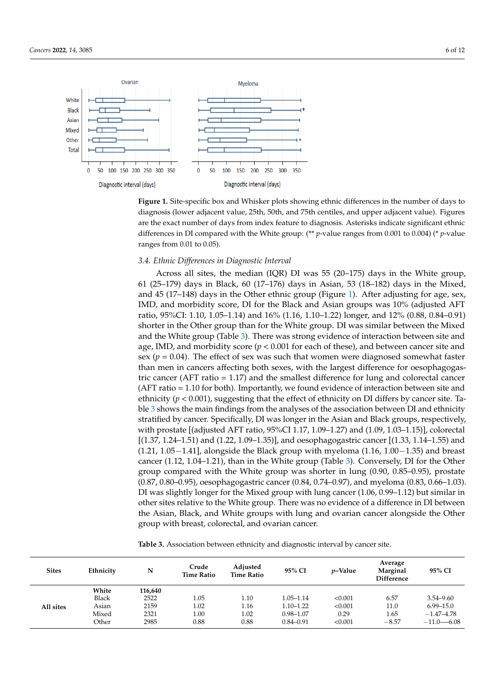<span id="page-5-0"></span>

**Figure 1.** Site-specific box and Whisker plots showing ethnic differences in the number of days to **Figure 1.** Site-specific box and Whisker plots showing ethnic differences in the number of days to diagnosis (lower adjacent value, 25th, 50th, and 75th centiles, and upper adjacent value). Figures are the exact number of days from index feature to diagnosis. Asterisks indicate significant ethnic ferences in DI compared with the White group: (\*\* *p*-value ranges from 0.001 to 0.004) (\* *p*-value differences in DI compared with the White group: (\*\* *p*-value ranges from 0.001 to 0.004) (\* *p*-value ranges from 0.01 to 0.05).

# *3.4. Ethnic Differences in Diagnostic Interval 3.4. Ethnic Differences in Diagnostic Interval*

Across all sites, the median (IQR) DI was  $55$  (20-175) days in the White group, 112000 days in Black, 60 (17–176) days in Asian, 53 (18–182) days in the Mixed, 60 (17–176) days in Asian, 53 (18–182) days in the Mixed, and  $45$  (17–148) days in the Other ethnic group (Figure [1\)](#page-5-0). After adjusting for age, sex,  $\mathbf{B}^{\text{max}}$  score, DI for the Black and Asian groups was 10% (adjusted AFT) IMD, and morbidity score, DI for the Black and Asian groups was  $10\%$  (adjusted AFT) in the Other in the Other in the Other in the Other in the Other in the Other in the Other in the Other in the Other in the Other in th ratio, 95%CI: 1.10, 1.05–1.14) and 16% (1.16, 1.10–1.22) longer, and 12% (0.88, 0.84–0.91)<br>- يوم الملحل الملك الملك الملك الملك الملك الملك الملك الملك الملك الملك الملك الملك الملك الملك الملك الملك ا shorter in the Other group than for the White group. DI was similar between the Mixed and the White group (Table [3\)](#page-6-0). There was strong evidence of interaction between site and  $\Gamma$ age, IMD, and morbidity score ( $p < 0.001$  for each of these), and between cancer site and sex ( $p = 0.04$ ). The effect of sex was such that women were diagnosed somewhat faster than men in cancers affecting both sexes, with the largest difference for oesophagogastric cancer (AFT ratio = 1.17) and the smallest difference for lung and colorectal cancer (AFT ratio =  $1.10$  for both). Importantly, we found evidence of interaction between site and ethnicity ( $p < 0.001$ ), suggesting that the effect of ethnicity on DI differs by cancer site. Table [3](#page-6-0) shows the main findings from the analyses of the association between DI and ethnicity stratified by cancer. Specifically, DI was longer in the Asian and Black groups, respectively, with prostate [(adjusted AFT ratio, 95%CI 1.17, 1.09–1.27) and (1.09, 1.03–1.15)], colorectal [(1.37, 1.24–1.51) and (1.22, 1.09–1.35)], and oesophagogastric cancer [(1.33, 1.14–1.55) and (1.21, 1.05−1.41], alongside the Black group with myeloma (1.16, 1.00−1.35) and breast cancer (1.12, 1.04–1.21), than in the White group (Table [3\)](#page-6-0). Conversely, DI for the Other group compared with the White group was shorter in lung (0.90, 0.85–0.95), prostate (0.87, 0.80–0.95), oesophagogastric cancer (0.84, 0.74–0.97), and myeloma (0.83, 0.66–1.03). DI was slightly longer for the Mixed group with lung cancer (1.06, 0.99–1.12) but similar in other sites relative to the White group. There was no evidence of a difference in DI between the Asian, Black, and White groups with lung and ovarian cancer alongside the Other group with breast, colorectal, and ovarian cancer.

**Table 3.** Association between ethnicity and diagnostic interval by cancer site.

| <b>Sites</b> | Ethnicity    | N       | Crude<br><b>Time Ratio</b> | Adjusted<br><b>Time Ratio</b> | 95% CI        | <i>v</i> –Value | Average<br>Marginal<br><b>Difference</b> | 95% CI         |
|--------------|--------------|---------|----------------------------|-------------------------------|---------------|-----------------|------------------------------------------|----------------|
| All sites    | White        | 116,640 |                            |                               |               |                 |                                          |                |
|              | <b>Black</b> | 2522    | 1.05                       | 1.10                          | $1.05 - 1.14$ | < 0.001         | 6.57                                     | $3.54 - 9.60$  |
|              | Asian        | 2159    | 1.02                       | 1.16                          | $1.10 - 1.22$ | < 0.001         | 11.0                                     | $6.99 - 15.0$  |
|              | Mixed        | 2321    | 1.00                       | 1.02                          | $0.98 - 1.07$ | 0.29            | 1.65                                     | $-1.47 - 4.78$ |
|              | Other        | 2985    | 0.88                       | 0.88                          | $0.84 - 0.91$ | < 0.001         | $-8.57$                                  | $-11.0 - 6.08$ |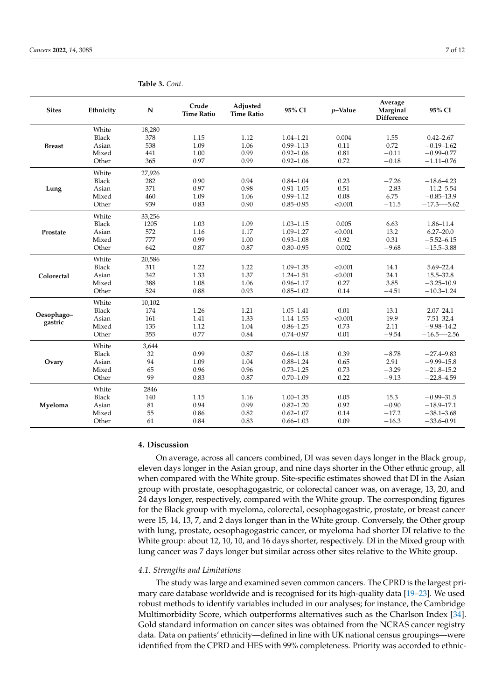| <b>Sites</b>  | Ethnicity    | $\mathbf N$ | Crude<br><b>Time Ratio</b> | Adjusted<br><b>Time Ratio</b> | 95% CI        | $p$ -Value | Average<br>Marginal<br>Difference | 95% CI          |
|---------------|--------------|-------------|----------------------------|-------------------------------|---------------|------------|-----------------------------------|-----------------|
| <b>Breast</b> | White        | 18,280      |                            |                               |               |            |                                   |                 |
|               | <b>Black</b> | 378         | 1.15                       | 1.12                          | $1.04 - 1.21$ | 0.004      | 1.55                              | $0.42 - 2.67$   |
|               | Asian        | 538         | 1.09                       | 1.06                          | $0.99 - 1.13$ | 0.11       | 0.72                              | $-0.19 - 1.62$  |
|               | Mixed        | 441         | 1.00                       | 0.99                          | $0.92 - 1.06$ | 0.81       | $-0.11$                           | $-0.99 - 0.77$  |
|               | Other        | 365         | 0.97                       | 0.99                          | $0.92 - 1.06$ | 0.72       | $-0.18$                           | $-1.11 - 0.76$  |
|               | White        | 27,926      |                            |                               |               |            |                                   |                 |
|               | <b>Black</b> | 282         | 0.90                       | 0.94                          | $0.84 - 1.04$ | 0.23       | $-7.26$                           | $-18.6 - 4.23$  |
| Lung          | Asian        | 371         | 0.97                       | 0.98                          | $0.91 - 1.05$ | 0.51       | $-2.83$                           | $-11.2 - 5.54$  |
|               | Mixed        | 460         | 1.09                       | 1.06                          | $0.99 - 1.12$ | 0.08       | 6.75                              | $-0.85 - 13.9$  |
|               | Other        | 939         | 0.83                       | 0.90                          | $0.85 - 0.95$ | < 0.001    | $-11.5$                           | $-17.3 - 5.62$  |
|               | White        | 33,256      |                            |                               |               |            |                                   |                 |
|               | <b>Black</b> | 1205        | 1.03                       | 1.09                          | $1.03 - 1.15$ | 0.005      | 6.63                              | 1.86-11.4       |
| Prostate      | Asian        | 572         | 1.16                       | 1.17                          | $1.09 - 1.27$ | < 0.001    | 13.2                              | $6.27 - 20.0$   |
|               | Mixed        | 777         | 0.99                       | 1.00                          | $0.93 - 1.08$ | 0.92       | 0.31                              | $-5.52 - 6.15$  |
|               | Other        | 642         | 0.87                       | 0.87                          | $0.80 - 0.95$ | 0.002      | $-9.68$                           | $-15.5 - 3.88$  |
|               | White        | 20,586      |                            |                               |               |            |                                   |                 |
|               | Black        | 311         | 1.22                       | 1.22                          | $1.09 - 1.35$ | < 0.001    | 14.1                              | $5.69 - 22.4$   |
| Colorectal    | Asian        | 342         | 1.33                       | 1.37                          | $1.24 - 1.51$ | < 0.001    | 24.1                              | 15.5-32.8       |
|               | Mixed        | 388         | 1.08                       | 1.06                          | $0.96 - 1.17$ | 0.27       | 3.85                              | $-3.25 - 10.9$  |
|               | Other        | 524         | 0.88                       | 0.93                          | $0.85 - 1.02$ | 0.14       | $-4.51$                           | $-10.3 - 1.24$  |
|               | White        | 10,102      |                            |                               |               |            |                                   |                 |
| Oesophago-    | <b>Black</b> | 174         | 1.26                       | 1.21                          | $1.05 - 1.41$ | 0.01       | 13.1                              | $2.07 - 24.1$   |
| gastric       | Asian        | 161         | 1.41                       | 1.33                          | $1.14 - 1.55$ | < 0.001    | 19.9                              | $7.51 - 32.4$   |
|               | Mixed        | 135         | 1.12                       | 1.04                          | $0.86 - 1.25$ | 0.73       | 2.11                              | $-9.98 - 14.2$  |
|               | Other        | 355         | 0.77                       | 0.84                          | $0.74 - 0.97$ | 0.01       | $-9.54$                           | $-16.5 - -2.56$ |
|               | White        | 3,644       |                            |                               |               |            |                                   |                 |
|               | <b>Black</b> | 32          | 0.99                       | 0.87                          | $0.66 - 1.18$ | 0.39       | $-8.78$                           | $-27.4 - 9.83$  |
| Ovary         | Asian        | 94          | 1.09                       | 1.04                          | $0.88 - 1.24$ | 0.65       | 2.91                              | $-9.99 - 15.8$  |
|               | Mixed        | 65          | 0.96                       | 0.96                          | $0.73 - 1.25$ | 0.73       | $-3.29$                           | $-21.8 - 15.2$  |
|               | Other        | 99          | 0.83                       | 0.87                          | $0.70 - 1.09$ | 0.22       | $-9.13$                           | $-22.8 - 4.59$  |
| Myeloma       | White        | 2846        |                            |                               |               |            |                                   |                 |
|               | Black        | 140         | 1.15                       | 1.16                          | $1.00 - 1.35$ | 0.05       | 15.3                              | $-0.99 - 31.5$  |
|               | Asian        | 81          | 0.94                       | 0.99                          | $0.82 - 1.20$ | 0.92       | $-0.90$                           | $-18.9 - 17.1$  |
|               | Mixed        | 55          | 0.86                       | 0.82                          | $0.62 - 1.07$ | 0.14       | $-17.2$                           | $-38.1 - 3.68$  |
|               | Other        | 61          | 0.84                       | 0.83                          | $0.66 - 1.03$ | 0.09       | $-16.3$                           | $-33.6 - 0.91$  |

<span id="page-6-0"></span>**Table 3.** *Cont.*

#### **4. Discussion**

On average, across all cancers combined, DI was seven days longer in the Black group, eleven days longer in the Asian group, and nine days shorter in the Other ethnic group, all when compared with the White group. Site-specific estimates showed that DI in the Asian group with prostate, oesophagogastric, or colorectal cancer was, on average, 13, 20, and 24 days longer, respectively, compared with the White group. The corresponding figures for the Black group with myeloma, colorectal, oesophagogastric, prostate, or breast cancer were 15, 14, 13, 7, and 2 days longer than in the White group. Conversely, the Other group with lung, prostate, oesophagogastric cancer, or myeloma had shorter DI relative to the White group: about 12, 10, 10, and 16 days shorter, respectively. DI in the Mixed group with lung cancer was 7 days longer but similar across other sites relative to the White group.

#### *4.1. Strengths and Limitations*

The study was large and examined seven common cancers. The CPRD is the largest primary care database worldwide and is recognised for its high-quality data [\[19–](#page-10-10)[23\]](#page-10-11). We used robust methods to identify variables included in our analyses; for instance, the Cambridge Multimorbidity Score, which outperforms alternatives such as the Charlson Index [\[34\]](#page-11-2). Gold standard information on cancer sites was obtained from the NCRAS cancer registry data. Data on patients' ethnicity—defined in line with UK national census groupings—were identified from the CPRD and HES with 99% completeness. Priority was accorded to ethnic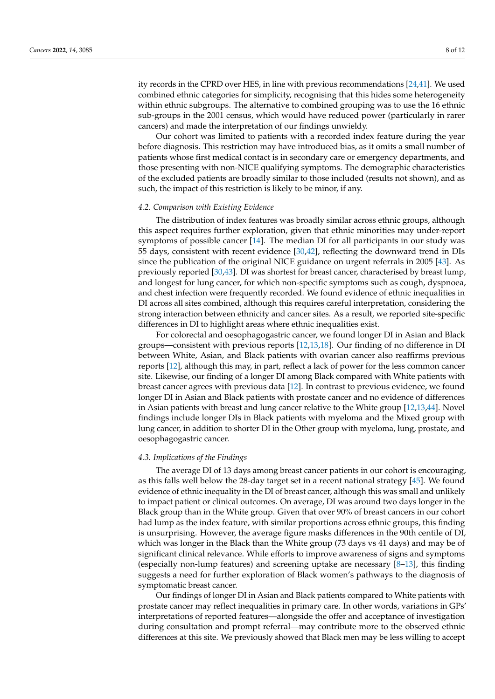ity records in the CPRD over HES, in line with previous recommendations [\[24,](#page-10-13)[41\]](#page-11-6). We used combined ethnic categories for simplicity, recognising that this hides some heterogeneity within ethnic subgroups. The alternative to combined grouping was to use the 16 ethnic sub-groups in the 2001 census, which would have reduced power (particularly in rarer cancers) and made the interpretation of our findings unwieldy.

Our cohort was limited to patients with a recorded index feature during the year before diagnosis. This restriction may have introduced bias, as it omits a small number of patients whose first medical contact is in secondary care or emergency departments, and those presenting with non-NICE qualifying symptoms. The demographic characteristics of the excluded patients are broadly similar to those included (results not shown), and as such, the impact of this restriction is likely to be minor, if any.

#### *4.2. Comparison with Existing Evidence*

The distribution of index features was broadly similar across ethnic groups, although this aspect requires further exploration, given that ethnic minorities may under-report symptoms of possible cancer [\[14\]](#page-10-5). The median DI for all participants in our study was 55 days, consistent with recent evidence [\[30](#page-10-19)[,42\]](#page-11-7), reflecting the downward trend in DIs since the publication of the original NICE guidance on urgent referrals in 2005 [\[43\]](#page-11-8). As previously reported [\[30,](#page-10-19)[43\]](#page-11-8). DI was shortest for breast cancer, characterised by breast lump, and longest for lung cancer, for which non-specific symptoms such as cough, dyspnoea, and chest infection were frequently recorded. We found evidence of ethnic inequalities in DI across all sites combined, although this requires careful interpretation, considering the strong interaction between ethnicity and cancer sites. As a result, we reported site-specific differences in DI to highlight areas where ethnic inequalities exist.

For colorectal and oesophagogastric cancer, we found longer DI in Asian and Black groups—consistent with previous reports [\[12](#page-10-3)[,13](#page-10-4)[,18\]](#page-10-9). Our finding of no difference in DI between White, Asian, and Black patients with ovarian cancer also reaffirms previous reports [\[12\]](#page-10-3), although this may, in part, reflect a lack of power for the less common cancer site. Likewise, our finding of a longer DI among Black compared with White patients with breast cancer agrees with previous data [\[12\]](#page-10-3). In contrast to previous evidence, we found longer DI in Asian and Black patients with prostate cancer and no evidence of differences in Asian patients with breast and lung cancer relative to the White group [\[12](#page-10-3)[,13](#page-10-4)[,44\]](#page-11-9). Novel findings include longer DIs in Black patients with myeloma and the Mixed group with lung cancer, in addition to shorter DI in the Other group with myeloma, lung, prostate, and oesophagogastric cancer.

#### *4.3. Implications of the Findings*

The average DI of 13 days among breast cancer patients in our cohort is encouraging, as this falls well below the 28-day target set in a recent national strategy [\[45\]](#page-11-10). We found evidence of ethnic inequality in the DI of breast cancer, although this was small and unlikely to impact patient or clinical outcomes. On average, DI was around two days longer in the Black group than in the White group. Given that over 90% of breast cancers in our cohort had lump as the index feature, with similar proportions across ethnic groups, this finding is unsurprising. However, the average figure masks differences in the 90th centile of DI, which was longer in the Black than the White group (73 days vs 41 days) and may be of significant clinical relevance. While efforts to improve awareness of signs and symptoms (especially non-lump features) and screening uptake are necessary [\[8](#page-10-1)[–13\]](#page-10-4), this finding suggests a need for further exploration of Black women's pathways to the diagnosis of symptomatic breast cancer.

Our findings of longer DI in Asian and Black patients compared to White patients with prostate cancer may reflect inequalities in primary care. In other words, variations in GPs' interpretations of reported features—alongside the offer and acceptance of investigation during consultation and prompt referral—may contribute more to the observed ethnic differences at this site. We previously showed that Black men may be less willing to accept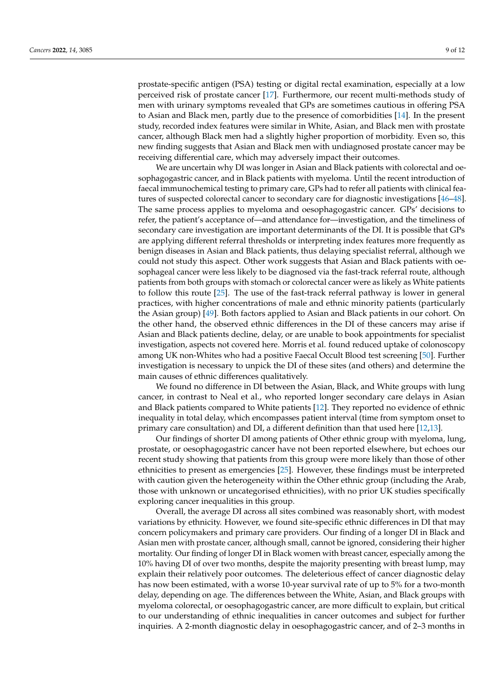prostate-specific antigen (PSA) testing or digital rectal examination, especially at a low perceived risk of prostate cancer [\[17\]](#page-10-8). Furthermore, our recent multi-methods study of men with urinary symptoms revealed that GPs are sometimes cautious in offering PSA to Asian and Black men, partly due to the presence of comorbidities [\[14\]](#page-10-5). In the present study, recorded index features were similar in White, Asian, and Black men with prostate cancer, although Black men had a slightly higher proportion of morbidity. Even so, this new finding suggests that Asian and Black men with undiagnosed prostate cancer may be receiving differential care, which may adversely impact their outcomes.

We are uncertain why DI was longer in Asian and Black patients with colorectal and oesophagogastric cancer, and in Black patients with myeloma. Until the recent introduction of faecal immunochemical testing to primary care, GPs had to refer all patients with clinical features of suspected colorectal cancer to secondary care for diagnostic investigations [\[46](#page-11-11)[–48\]](#page-11-12). The same process applies to myeloma and oesophagogastric cancer. GPs' decisions to refer, the patient's acceptance of—and attendance for—investigation, and the timeliness of secondary care investigation are important determinants of the DI. It is possible that GPs are applying different referral thresholds or interpreting index features more frequently as benign diseases in Asian and Black patients, thus delaying specialist referral, although we could not study this aspect. Other work suggests that Asian and Black patients with oesophageal cancer were less likely to be diagnosed via the fast-track referral route, although patients from both groups with stomach or colorectal cancer were as likely as White patients to follow this route [\[25\]](#page-10-14). The use of the fast-track referral pathway is lower in general practices, with higher concentrations of male and ethnic minority patients (particularly the Asian group) [\[49\]](#page-11-13). Both factors applied to Asian and Black patients in our cohort. On the other hand, the observed ethnic differences in the DI of these cancers may arise if Asian and Black patients decline, delay, or are unable to book appointments for specialist investigation, aspects not covered here. Morris et al. found reduced uptake of colonoscopy among UK non-Whites who had a positive Faecal Occult Blood test screening [\[50\]](#page-11-14). Further investigation is necessary to unpick the DI of these sites (and others) and determine the main causes of ethnic differences qualitatively.

We found no difference in DI between the Asian, Black, and White groups with lung cancer, in contrast to Neal et al., who reported longer secondary care delays in Asian and Black patients compared to White patients [\[12\]](#page-10-3). They reported no evidence of ethnic inequality in total delay, which encompasses patient interval (time from symptom onset to primary care consultation) and DI, a different definition than that used here [\[12](#page-10-3)[,13\]](#page-10-4).

Our findings of shorter DI among patients of Other ethnic group with myeloma, lung, prostate, or oesophagogastric cancer have not been reported elsewhere, but echoes our recent study showing that patients from this group were more likely than those of other ethnicities to present as emergencies [\[25\]](#page-10-14). However, these findings must be interpreted with caution given the heterogeneity within the Other ethnic group (including the Arab, those with unknown or uncategorised ethnicities), with no prior UK studies specifically exploring cancer inequalities in this group.

Overall, the average DI across all sites combined was reasonably short, with modest variations by ethnicity. However, we found site-specific ethnic differences in DI that may concern policymakers and primary care providers. Our finding of a longer DI in Black and Asian men with prostate cancer, although small, cannot be ignored, considering their higher mortality. Our finding of longer DI in Black women with breast cancer, especially among the 10% having DI of over two months, despite the majority presenting with breast lump, may explain their relatively poor outcomes. The deleterious effect of cancer diagnostic delay has now been estimated, with a worse 10-year survival rate of up to 5% for a two-month delay, depending on age. The differences between the White, Asian, and Black groups with myeloma colorectal, or oesophagogastric cancer, are more difficult to explain, but critical to our understanding of ethnic inequalities in cancer outcomes and subject for further inquiries. A 2-month diagnostic delay in oesophagogastric cancer, and of 2–3 months in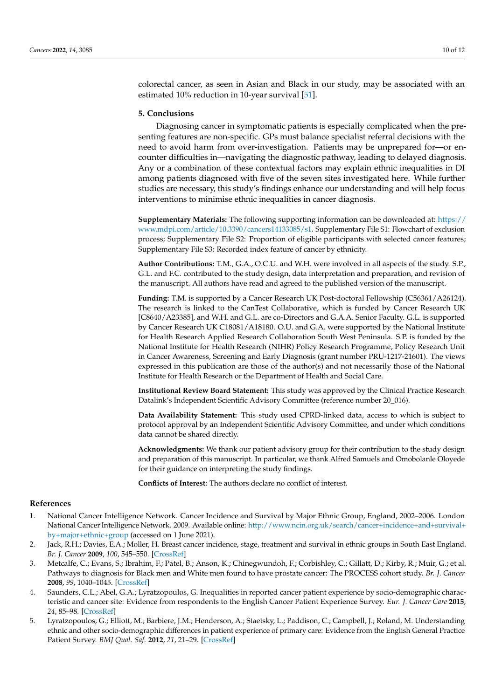colorectal cancer, as seen in Asian and Black in our study, may be associated with an estimated 10% reduction in 10-year survival [\[51\]](#page-11-15).

#### **5. Conclusions**

Diagnosing cancer in symptomatic patients is especially complicated when the presenting features are non-specific. GPs must balance specialist referral decisions with the need to avoid harm from over-investigation. Patients may be unprepared for—or encounter difficulties in—navigating the diagnostic pathway, leading to delayed diagnosis. Any or a combination of these contextual factors may explain ethnic inequalities in DI among patients diagnosed with five of the seven sites investigated here. While further studies are necessary, this study's findings enhance our understanding and will help focus interventions to minimise ethnic inequalities in cancer diagnosis.

**Supplementary Materials:** The following supporting information can be downloaded at: [https://](https://www.mdpi.com/article/10.3390/cancers14133085/s1) [www.mdpi.com/article/10.3390/cancers14133085/s1.](https://www.mdpi.com/article/10.3390/cancers14133085/s1) Supplementary File S1: Flowchart of exclusion process; Supplementary File S2: Proportion of eligible participants with selected cancer features; Supplementary File S3: Recorded index feature of cancer by ethnicity.

**Author Contributions:** T.M., G.A., O.C.U. and W.H. were involved in all aspects of the study. S.P., G.L. and F.C. contributed to the study design, data interpretation and preparation, and revision of the manuscript. All authors have read and agreed to the published version of the manuscript.

**Funding:** T.M. is supported by a Cancer Research UK Post-doctoral Fellowship (C56361/A26124). The research is linked to the CanTest Collaborative, which is funded by Cancer Research UK [C8640/A23385], and W.H. and G.L. are co-Directors and G.A.A. Senior Faculty. G.L. is supported by Cancer Research UK C18081/A18180. O.U. and G.A. were supported by the National Institute for Health Research Applied Research Collaboration South West Peninsula. S.P. is funded by the National Institute for Health Research (NIHR) Policy Research Programme, Policy Research Unit in Cancer Awareness, Screening and Early Diagnosis (grant number PRU-1217-21601). The views expressed in this publication are those of the author(s) and not necessarily those of the National Institute for Health Research or the Department of Health and Social Care.

**Institutional Review Board Statement:** This study was approved by the Clinical Practice Research Datalink's Independent Scientific Advisory Committee (reference number 20\_016).

**Data Availability Statement:** This study used CPRD-linked data, access to which is subject to protocol approval by an Independent Scientific Advisory Committee, and under which conditions data cannot be shared directly.

**Acknowledgments:** We thank our patient advisory group for their contribution to the study design and preparation of this manuscript. In particular, we thank Alfred Samuels and Omobolanle Oloyede for their guidance on interpreting the study findings.

**Conflicts of Interest:** The authors declare no conflict of interest.

# **References**

- <span id="page-9-0"></span>1. National Cancer Intelligence Network. Cancer Incidence and Survival by Major Ethnic Group, England, 2002–2006. London National Cancer Intelligence Network. 2009. Available online: [http://www.ncin.org.uk/search/cancer+incidence+and+survival+](http://www.ncin.org.uk/search/cancer+incidence+and+survival+by+major+ethnic+group) [by+major+ethnic+group](http://www.ncin.org.uk/search/cancer+incidence+and+survival+by+major+ethnic+group) (accessed on 1 June 2021).
- 2. Jack, R.H.; Davies, E.A.; Moller, H. Breast cancer incidence, stage, treatment and survival in ethnic groups in South East England. *Br. J. Cancer* **2009**, *100*, 545–550. [\[CrossRef\]](http://doi.org/10.1038/sj.bjc.6604852)
- <span id="page-9-1"></span>3. Metcalfe, C.; Evans, S.; Ibrahim, F.; Patel, B.; Anson, K.; Chinegwundoh, F.; Corbishley, C.; Gillatt, D.; Kirby, R.; Muir, G.; et al. Pathways to diagnosis for Black men and White men found to have prostate cancer: The PROCESS cohort study. *Br. J. Cancer* **2008**, *99*, 1040–1045. [\[CrossRef\]](http://doi.org/10.1038/sj.bjc.6604670)
- <span id="page-9-2"></span>4. Saunders, C.L.; Abel, G.A.; Lyratzopoulos, G. Inequalities in reported cancer patient experience by socio-demographic characteristic and cancer site: Evidence from respondents to the English Cancer Patient Experience Survey. *Eur. J. Cancer Care* **2015**, *24*, 85–98. [\[CrossRef\]](http://doi.org/10.1111/ecc.12267)
- 5. Lyratzopoulos, G.; Elliott, M.; Barbiere, J.M.; Henderson, A.; Staetsky, L.; Paddison, C.; Campbell, J.; Roland, M. Understanding ethnic and other socio-demographic differences in patient experience of primary care: Evidence from the English General Practice Patient Survey. *BMJ Qual. Saf.* **2012**, *21*, 21–29. [\[CrossRef\]](http://doi.org/10.1136/bmjqs-2011-000088)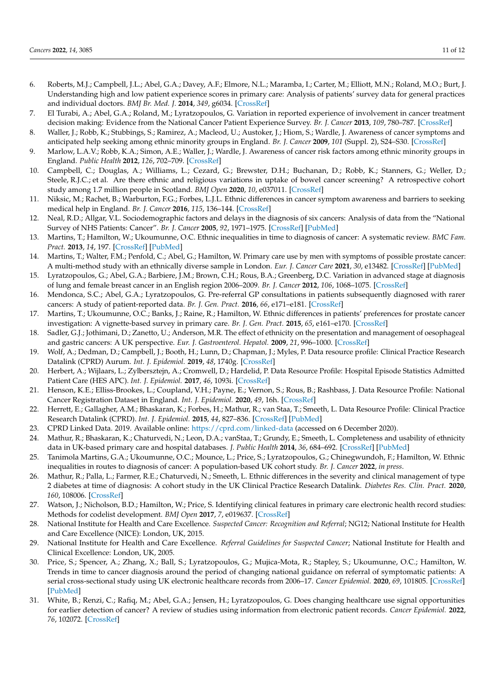- 6. Roberts, M.J.; Campbell, J.L.; Abel, G.A.; Davey, A.F.; Elmore, N.L.; Maramba, I.; Carter, M.; Elliott, M.N.; Roland, M.O.; Burt, J. Understanding high and low patient experience scores in primary care: Analysis of patients' survey data for general practices and individual doctors. *BMJ Br. Med. J.* **2014**, *349*, g6034. [\[CrossRef\]](http://doi.org/10.1136/bmj.g6034)
- <span id="page-10-0"></span>7. El Turabi, A.; Abel, G.A.; Roland, M.; Lyratzopoulos, G. Variation in reported experience of involvement in cancer treatment decision making: Evidence from the National Cancer Patient Experience Survey. *Br. J. Cancer* **2013**, *109*, 780–787. [\[CrossRef\]](http://doi.org/10.1038/bjc.2013.316)
- <span id="page-10-1"></span>8. Waller, J.; Robb, K.; Stubbings, S.; Ramirez, A.; Macleod, U.; Austoker, J.; Hiom, S.; Wardle, J. Awareness of cancer symptoms and anticipated help seeking among ethnic minority groups in England. *Br. J. Cancer* **2009**, *101* (Suppl. 2), S24–S30. [\[CrossRef\]](http://doi.org/10.1038/sj.bjc.6605387)
- 9. Marlow, L.A.V.; Robb, K.A.; Simon, A.E.; Waller, J.; Wardle, J. Awareness of cancer risk factors among ethnic minority groups in England. *Public Health* **2012**, *126*, 702–709. [\[CrossRef\]](http://doi.org/10.1016/j.puhe.2012.05.005)
- 10. Campbell, C.; Douglas, A.; Williams, L.; Cezard, G.; Brewster, D.H.; Buchanan, D.; Robb, K.; Stanners, G.; Weller, D.; Steele, R.J.C.; et al. Are there ethnic and religious variations in uptake of bowel cancer screening? A retrospective cohort study among 1.7 million people in Scotland. *BMJ Open* **2020**, *10*, e037011. [\[CrossRef\]](http://doi.org/10.1136/bmjopen-2020-037011)
- <span id="page-10-2"></span>11. Niksic, M.; Rachet, B.; Warburton, F.G.; Forbes, L.J.L. Ethnic differences in cancer symptom awareness and barriers to seeking medical help in England. *Br. J. Cancer* **2016**, *115*, 136–144. [\[CrossRef\]](http://doi.org/10.1038/bjc.2016.158)
- <span id="page-10-3"></span>12. Neal, R.D.; Allgar, V.L. Sociodemographic factors and delays in the diagnosis of six cancers: Analysis of data from the "National Survey of NHS Patients: Cancer". *Br. J. Cancer* **2005**, *92*, 1971–1975. [\[CrossRef\]](http://doi.org/10.1038/sj.bjc.6602623) [\[PubMed\]](http://www.ncbi.nlm.nih.gov/pubmed/15900296)
- <span id="page-10-4"></span>13. Martins, T.; Hamilton, W.; Ukoumunne, O.C. Ethnic inequalities in time to diagnosis of cancer: A systematic review. *BMC Fam. Pract.* **2013**, *14*, 197. [\[CrossRef\]](http://doi.org/10.1186/1471-2296-14-197) [\[PubMed\]](http://www.ncbi.nlm.nih.gov/pubmed/24359157)
- <span id="page-10-5"></span>14. Martins, T.; Walter, F.M.; Penfold, C.; Abel, G.; Hamilton, W. Primary care use by men with symptoms of possible prostate cancer: A multi-method study with an ethnically diverse sample in London. *Eur. J. Cancer Care* **2021**, *30*, e13482. [\[CrossRef\]](http://doi.org/10.1111/ecc.13482) [\[PubMed\]](http://www.ncbi.nlm.nih.gov/pubmed/34152656)
- <span id="page-10-6"></span>15. Lyratzopoulos, G.; Abel, G.A.; Barbiere, J.M.; Brown, C.H.; Rous, B.A.; Greenberg, D.C. Variation in advanced stage at diagnosis of lung and female breast cancer in an English region 2006–2009. *Br. J. Cancer* **2012**, *106*, 1068–1075. [\[CrossRef\]](http://doi.org/10.1038/bjc.2012.30)
- <span id="page-10-7"></span>16. Mendonca, S.C.; Abel, G.A.; Lyratzopoulos, G. Pre-referral GP consultations in patients subsequently diagnosed with rarer cancers: A study of patient-reported data. *Br. J. Gen. Pract.* **2016**, *66*, e171–e181. [\[CrossRef\]](http://doi.org/10.3399/bjgp16X683977)
- <span id="page-10-8"></span>17. Martins, T.; Ukoumunne, O.C.; Banks, J.; Raine, R.; Hamilton, W. Ethnic differences in patients' preferences for prostate cancer investigation: A vignette-based survey in primary care. *Br. J. Gen. Pract.* **2015**, *65*, e161–e170. [\[CrossRef\]](http://doi.org/10.3399/bjgp15X683965)
- <span id="page-10-9"></span>18. Sadler, G.J.; Jothimani, D.; Zanetto, U.; Anderson, M.R. The effect of ethnicity on the presentation and management of oesophageal and gastric cancers: A UK perspective. *Eur. J. Gastroenterol. Hepatol.* **2009**, *21*, 996–1000. [\[CrossRef\]](http://doi.org/10.1097/MEG.0b013e32832948b3)
- <span id="page-10-10"></span>19. Wolf, A.; Dedman, D.; Campbell, J.; Booth, H.; Lunn, D.; Chapman, J.; Myles, P. Data resource profile: Clinical Practice Research Datalink (CPRD) Aurum. *Int. J. Epidemiol.* **2019**, *48*, 1740g. [\[CrossRef\]](http://doi.org/10.1093/ije/dyz034)
- 20. Herbert, A.; Wijlaars, L.; Zylbersztejn, A.; Cromwell, D.; Hardelid, P. Data Resource Profile: Hospital Episode Statistics Admitted Patient Care (HES APC). *Int. J. Epidemiol.* **2017**, *46*, 1093i. [\[CrossRef\]](http://doi.org/10.1093/ije/dyx015)
- 21. Henson, K.E.; Elliss-Brookes, L.; Coupland, V.H.; Payne, E.; Vernon, S.; Rous, B.; Rashbass, J. Data Resource Profile: National Cancer Registration Dataset in England. *Int. J. Epidemiol.* **2020**, *49*, 16h. [\[CrossRef\]](http://doi.org/10.1093/ije/dyz076)
- <span id="page-10-12"></span>22. Herrett, E.; Gallagher, A.M.; Bhaskaran, K.; Forbes, H.; Mathur, R.; van Staa, T.; Smeeth, L. Data Resource Profile: Clinical Practice Research Datalink (CPRD). *Int. J. Epidemiol.* **2015**, *44*, 827–836. [\[CrossRef\]](http://doi.org/10.1093/ije/dyv098) [\[PubMed\]](http://www.ncbi.nlm.nih.gov/pubmed/26050254)
- <span id="page-10-11"></span>23. CPRD Linked Data. 2019. Available online: <https://cprd.com/linked-data> (accessed on 6 December 2020).
- <span id="page-10-13"></span>24. Mathur, R.; Bhaskaran, K.; Chaturvedi, N.; Leon, D.A.; vanStaa, T.; Grundy, E.; Smeeth, L. Completeness and usability of ethnicity data in UK-based primary care and hospital databases. *J. Public Health* **2014**, *36*, 684–692. [\[CrossRef\]](http://doi.org/10.1093/pubmed/fdt116) [\[PubMed\]](http://www.ncbi.nlm.nih.gov/pubmed/24323951)
- <span id="page-10-14"></span>25. Tanimola Martins, G.A.; Ukoumunne, O.C.; Mounce, L.; Price, S.; Lyratzopoulos, G.; Chinegwundoh, F.; Hamilton, W. Ethnic inequalities in routes to diagnosis of cancer: A population-based UK cohort study. *Br. J. Cancer* **2022**, *in press*.
- <span id="page-10-15"></span>26. Mathur, R.; Palla, L.; Farmer, R.E.; Chaturvedi, N.; Smeeth, L. Ethnic differences in the severity and clinical management of type 2 diabetes at time of diagnosis: A cohort study in the UK Clinical Practice Research Datalink. *Diabetes Res. Clin. Pract.* **2020**, *160*, 108006. [\[CrossRef\]](http://doi.org/10.1016/j.diabres.2020.108006)
- <span id="page-10-16"></span>27. Watson, J.; Nicholson, B.D.; Hamilton, W.; Price, S. Identifying clinical features in primary care electronic health record studies: Methods for codelist development. *BMJ Open* **2017**, *7*, e019637. [\[CrossRef\]](http://doi.org/10.1136/bmjopen-2017-019637)
- <span id="page-10-17"></span>28. National Institute for Health and Care Excellence. *Suspected Cancer: Recognition and Referral*; NG12; National Institute for Health and Care Excellence (NICE): London, UK, 2015.
- <span id="page-10-18"></span>29. National Institute for Health and Care Excellence. *Referral Guidelines for Suspected Cancer*; National Institute for Health and Clinical Excellence: London, UK, 2005.
- <span id="page-10-19"></span>30. Price, S.; Spencer, A.; Zhang, X.; Ball, S.; Lyratzopoulos, G.; Mujica-Mota, R.; Stapley, S.; Ukoumunne, O.C.; Hamilton, W. Trends in time to cancer diagnosis around the period of changing national guidance on referral of symptomatic patients: A serial cross-sectional study using UK electronic healthcare records from 2006–17. *Cancer Epidemiol.* **2020**, *69*, 101805. [\[CrossRef\]](http://doi.org/10.1016/j.canep.2020.101805) [\[PubMed\]](http://www.ncbi.nlm.nih.gov/pubmed/32919226)
- <span id="page-10-20"></span>31. White, B.; Renzi, C.; Rafiq, M.; Abel, G.A.; Jensen, H.; Lyratzopoulos, G. Does changing healthcare use signal opportunities for earlier detection of cancer? A review of studies using information from electronic patient records. *Cancer Epidemiol.* **2022**, *76*, 102072. [\[CrossRef\]](http://doi.org/10.1016/j.canep.2021.102072)